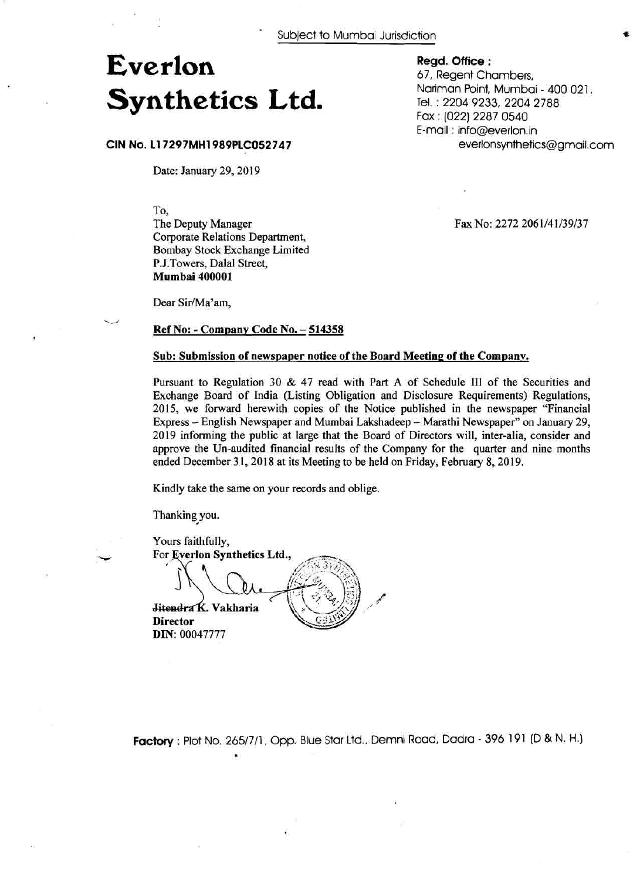## **Everlon Synthetics Ltd.**

**CIN No. 11 7297MH1989PLC052747** 

Date: January 29, 2019

To,

**12** 

**w** 

The Deputy Manager Corporate Relations Department, Bombay Stock Exchange Limited P.J.Towers, Dalal Street, **Mumbai 400001** 

Dear Sir/Ma'am,

## **Ref No:** - **Company Code No.** - **<sup>514358</sup>**

## Sub: Submission of newspaper notice of the Board Meeting of the Company.

Pursuant to Regulation 30 & 47 read with Part A of Schedule **I11** of the Securities and Exchange Board of India (Listing Obligation and Disclosure Requirements) Regulations, 2015, we forward herewith copies of the Notice published in the newspaper "Financial Express - English Newspaper and Mumbai Lakshadeep - Marathi Newspaper" on January 29, 2019 informing the public at large that the Board of Directors will, inter-alia, consider and approve the Un-audited financial results of the Company for the quarter and nine months ended December 31, 2018 at its Meeting to be held on Friday, February 8, 2019.

 $\sqrt{2}$ 

Kindly take the same on your records and oblige.

Thanking you. **I** 

Yours faithfully, For Everlon Synthetics Ltd.

Jitendra K. Vakharia **Director DIN:** 00047777

**Factory** : Plot No. 2651711, Opp. Blue Star Ltd., Demni Road, Dadra - 396 191 (D & N. H.)

## **Regd. Office** :

67, Regent Chambers, Nariman Point, Mumbai - 400 021. Tel. : 2204 9233, 2204 2788 Fax : (022) 2287 0540 E-mail : info@everlon.in everlonsynthetics@gmail.com

Fax No: 2272 206 1/41/39/37